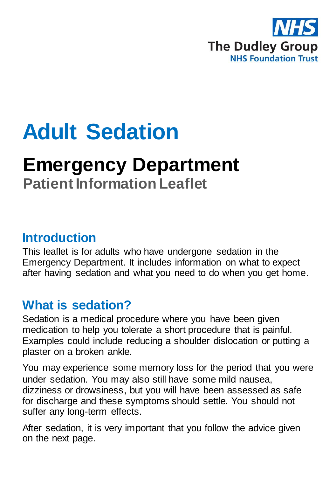

# **Adult Sedation**

# **Emergency Department**

# **Patient Information Leaflet**

## **Introduction**

This leaflet is for adults who have undergone sedation in the Emergency Department. It includes information on what to expect after having sedation and what you need to do when you get home.

## **What is sedation?**

Sedation is a medical procedure where you have been given medication to help you tolerate a short procedure that is painful. Examples could include reducing a shoulder dislocation or putting a plaster on a broken ankle.

You may experience some memory loss for the period that you were under sedation. You may also still have some mild nausea, dizziness or drowsiness, but you will have been assessed as safe for discharge and these symptoms should settle. You should not suffer any long-term effects.

After sedation, it is very important that you follow the advice given on the next page.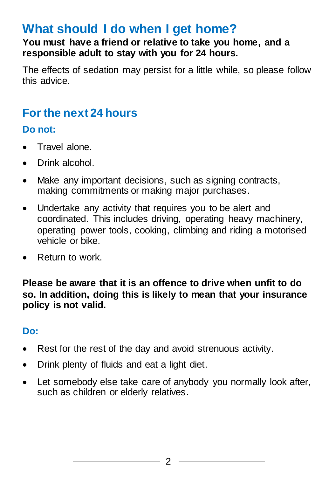# **What should I do when I get home?**

#### **You must have a friend or relative to take you home, and a responsible adult to stay with you for 24 hours.**

The effects of sedation may persist for a little while, so please follow this advice.

### **For the next 24 hours**

#### **Do not:**

- Travel alone.
- Drink alcohol.
- Make any important decisions, such as signing contracts, making commitments or making major purchases.
- Undertake any activity that requires you to be alert and coordinated. This includes driving, operating heavy machinery, operating power tools, cooking, climbing and riding a motorised vehicle or bike.
- Return to work.

#### **Please be aware that it is an offence to drive when unfit to do so. In addition, doing this is likely to mean that your insurance policy is not valid.**

### **Do:**

- Rest for the rest of the day and avoid strenuous activity.
- Drink plenty of fluids and eat a light diet.
- Let somebody else take care of anybody you normally look after, such as children or elderly relatives.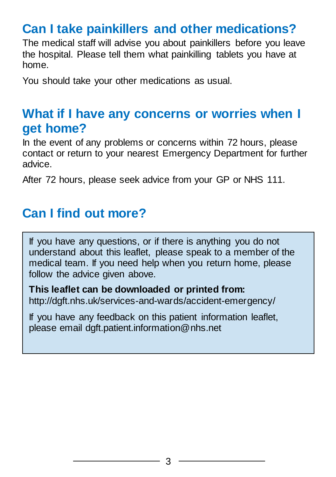## **Can I take painkillers and other medications?**

The medical staff will advise you about painkillers before you leave the hospital. Please tell them what painkilling tablets you have at home.

You should take your other medications as usual.

## **What if I have any concerns or worries when I get home?**

In the event of any problems or concerns within 72 hours, please contact or return to your nearest Emergency Department for further advice.

After 72 hours, please seek advice from your GP or NHS 111.

# **Can I find out more?**

If you have any questions, or if there is anything you do not understand about this leaflet, please speak to a member of the medical team. If you need help when you return home, please follow the advice given above.

**This leaflet can be downloaded or printed from:** http://dgft.nhs.uk/services-and-wards/accident-emergency/

If you have any feedback on this patient information leaflet, please email dgft.patient.information@nhs.net